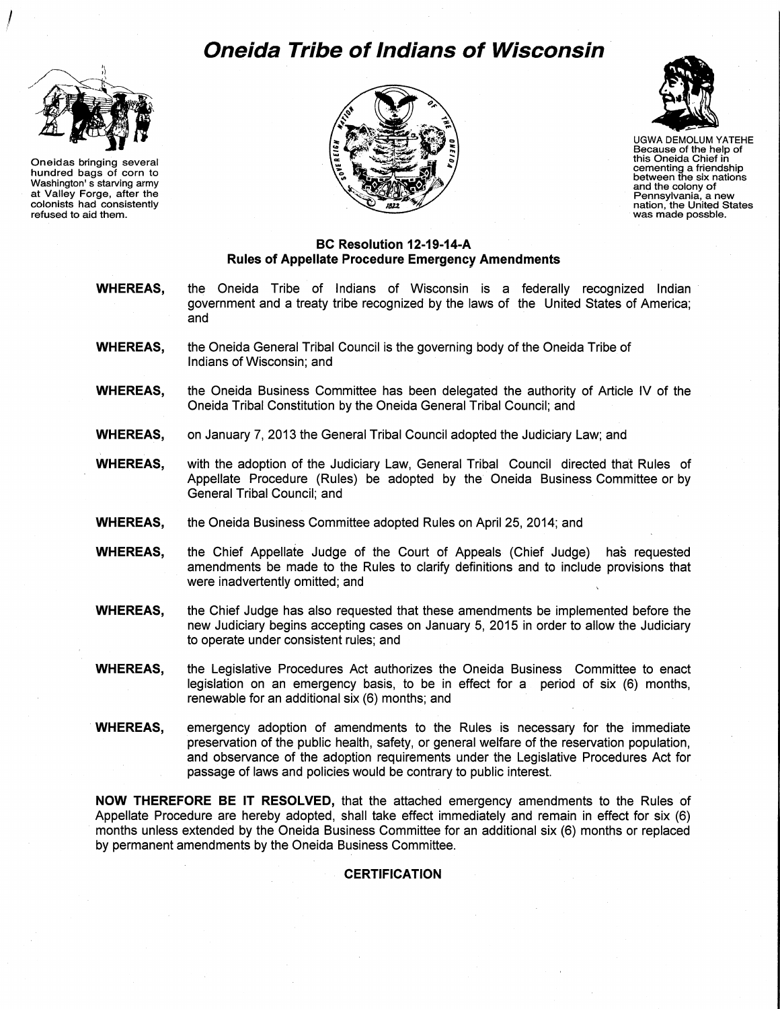# **Oneida Tribe of Indians of Wisconsin**



 $\int$ 

Oneidas bringing several hundred bags of corn to Washington' s starving army at Valley Forge, after the colonists had consistently refused to aid them.





UGWA DEMOLUM YATEHE Because of the help of this Oneida Chief in cementing a friendship between the six nations and the colony of<br>Pennsylvania, a new nation, the United States<br>was made possble.

#### **BC Resolution 12-19-14-A Rules of Appellate Procedure Emergency Amendments**

- **WHEREAS,** the Oneida Tribe of Indians of Wisconsin is a federally recognized Indian government and a treaty tribe recognized by the laws of the United States of America; and
- **WHEREAS,** the Oneida General Tribal Council is the governing body of the Oneida Tribe of Indians of Wisconsin; and
- **WHEREAS,** the Oneida Business Committee has been delegated the authority of Article IV of the Oneida Tribal Constitution by the Oneida General Tribal Council; and
- **WHEREAS,** on January 7, 2013 the General Tribal Council adopted the Judiciary Law; and
- **WHEREAS,** with the adoption of the Judiciary Law, General Tribal Council directed that Rules of Appellate Procedure (Rules) be adopted by the Oneida Business Committee or by General Tribal Council; and
- **WHEREAS,** the Oneida Business Committee adopted Rules on April 25, 2014; and
- **WHEREAS,** the Chief Appellate Judge of the Court of Appeals (Chief Judge) has requested amendments be made to the Rules to clarify definitions and to include provisions that were inadvertently omitted; and
- **WHEREAS,** the Chief Judge has also requested that these amendments be implemented before the new Judiciary begins accepting cases on January 5, 2015 in order to allow the Judiciary to operate under consistent rules; and
- **WHEREAS,** the Legislative Procedures Act authorizes the Oneida Business Committee to enact legislation on an emergency basis, to be in effect for a period of six (6) months, renewable for an additional six (6) months; and
- **WHEREAS,** emergency adoption of amendments to the Rules is necessary for the immediate preservation of the public health, safety, or general welfare of the reservation population, and observance of the adoption requirements under the Legislative Procedures Act for passage of laws and policies would be contrary to public interest.

**NOW THEREFORE BE IT RESOLVED,** that the attached emergency amendments to the Rules of Appellate Procedure are hereby adopted, shall take effect immediately and remain in effect for six (6) months unless extended by the Oneida Business Committee for an additional six (6) months or replaced by permanent amendments by the Oneida Business Committee.

#### **CERTIFICATION**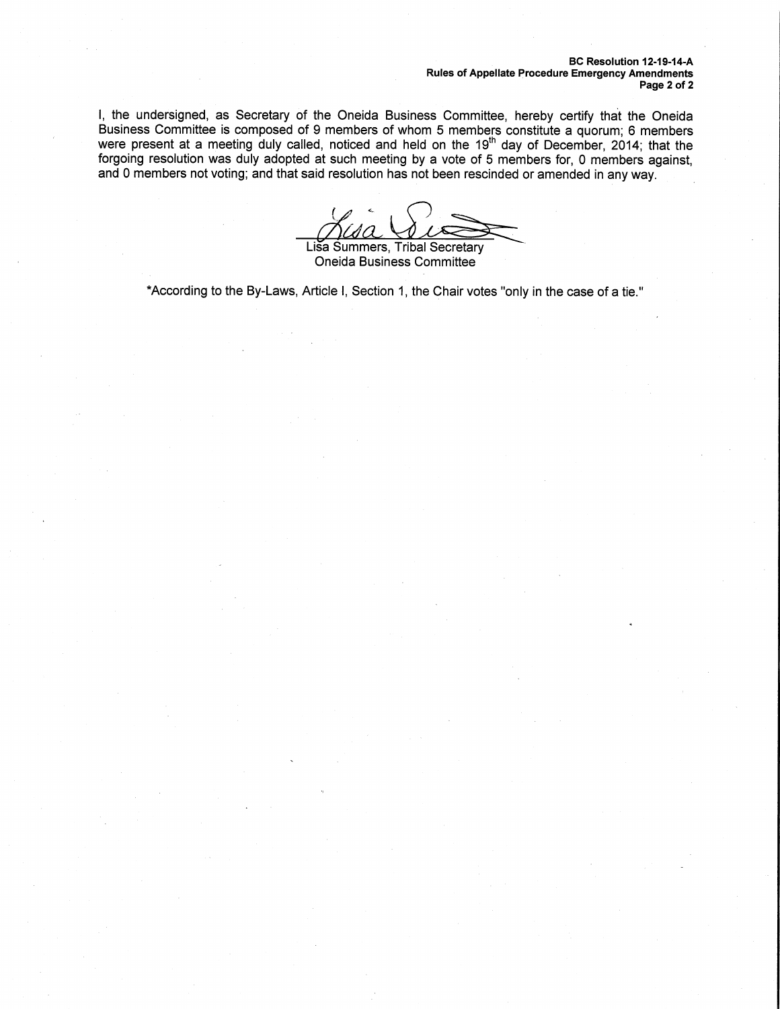BC Resolution 12-19-14-A Rules of Appellate Procedure Emergency Amendments Page 2 of 2

I, the undersigned, as Secretary of the Oneida Business Committee, hereby certify that the Oneida Business Committee is composed of 9 members of whom 5 members constitute a quorum; 6 members were present at a meeting duly called, noticed and held on the 19<sup>th</sup> day of December, 2014; that the forgoing resolution was duly adopted at such meeting by a vote of 5 members for, 0 members against,

and 0 members not voting; and that said resolution has not been rescinded or amended in any way.<br>
Lisa Summers, Tribal Secretary<br>
Cheida Business Committee

Oneida Business Committee

\*According to the By-Laws, Article I, Section 1, the Chair votes "only in the case of a tie."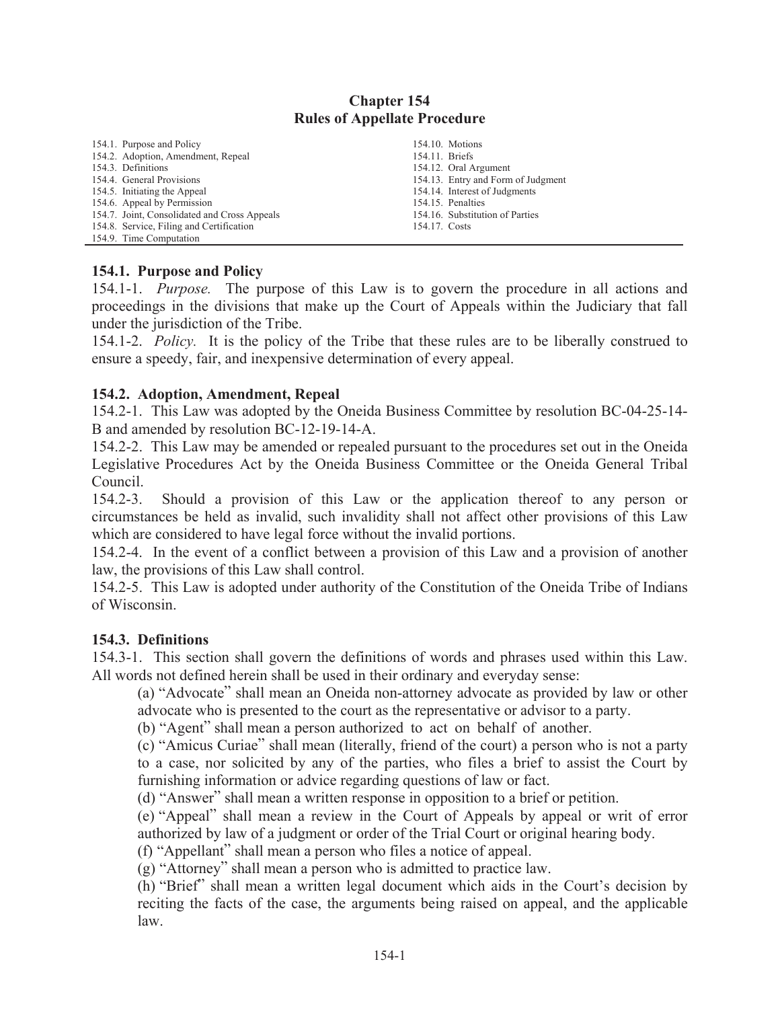#### **Chapter 154 Rules of Appellate Procedure**

| 154.1. Purpose and Policy                    |                | 154.10. Motions                    |
|----------------------------------------------|----------------|------------------------------------|
| 154.2. Adoption, Amendment, Repeal           | 154.11. Briefs |                                    |
| 154.3. Definitions                           |                | 154.12. Oral Argument              |
| 154.4. General Provisions                    |                | 154.13. Entry and Form of Judgment |
| 154.5. Initiating the Appeal                 |                | 154.14. Interest of Judgments      |
| 154.6. Appeal by Permission                  |                | 154.15. Penalties                  |
| 154.7. Joint, Consolidated and Cross Appeals |                | 154.16. Substitution of Parties    |
| 154.8. Service, Filing and Certification     | 154.17. Costs  |                                    |
| 154.0 Time Computation                       |                |                                    |

#### 154.1. Purpose and Policy

154.1-1. *Purpose*. The purpose of this Law is to govern the procedure in all actions and proceedings in the divisions that make up the Court of Appeals within the Judiciary that fall under the jurisdiction of the Tribe.

154.1-2. *Policy*. It is the policy of the Tribe that these rules are to be liberally construed to ensure a speedy, fair, and inexpensive determination of every appeal.

#### 154.2. Adoption, Amendment, Repeal

154.2-1. This Law was adopted by the Oneida Business Committee by resolution BC-04-25-14-B and amended by resolution BC-12-19-14-A.

154.2-2. This Law may be amended or repealed pursuant to the procedures set out in the Oneida Legislative Procedures Act by the Oneida Business Committee or the Oneida General Tribal Council

 $154.2 - 3.$ Should a provision of this Law or the application thereof to any person or circumstances be held as invalid, such invalidity shall not affect other provisions of this Law which are considered to have legal force without the invalid portions.

154.2-4. In the event of a conflict between a provision of this Law and a provision of another law, the provisions of this Law shall control.

154.2-5. This Law is adopted under authority of the Constitution of the Oneida Tribe of Indians of Wisconsin.

#### 154.3. Definitions

154.3-1. This section shall govern the definitions of words and phrases used within this Law. All words not defined herein shall be used in their ordinary and everyday sense:

(a) "Advocate" shall mean an Oneida non-attorney advocate as provided by law or other advocate who is presented to the court as the representative or advisor to a party.

(b) "Agent" shall mean a person authorized to act on behalf of another.

(c) "Amicus Curiae" shall mean (literally, friend of the court) a person who is not a party to a case, nor solicited by any of the parties, who files a brief to assist the Court by furnishing information or advice regarding questions of law or fact.

(d) "Answer" shall mean a written response in opposition to a brief or petition.

(e) "Appeal" shall mean a review in the Court of Appeals by appeal or writ of error authorized by law of a judgment or order of the Trial Court or original hearing body.

(f) "Appellant" shall mean a person who files a notice of appeal.

(g) "Attorney" shall mean a person who is admitted to practice law.

(h) "Brief" shall mean a written legal document which aids in the Court's decision by reciting the facts of the case, the arguments being raised on appeal, and the applicable  $law$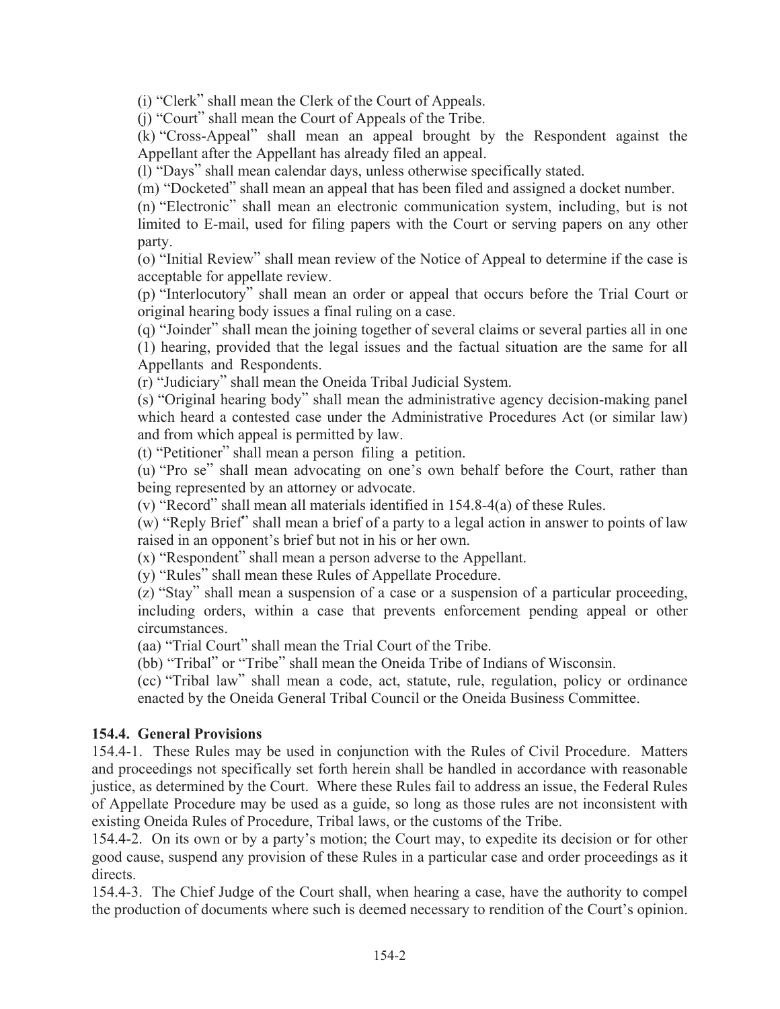(i) "Clerk" shall mean the Clerk of the Court of Appeals.

(i) "Court" shall mean the Court of Appeals of the Tribe.

(k) "Cross-Appeal" shall mean an appeal brought by the Respondent against the Appellant after the Appellant has already filed an appeal.

(1) "Days" shall mean calendar days, unless otherwise specifically stated.

(m) "Docketed" shall mean an appeal that has been filed and assigned a docket number.

(n) "Electronic" shall mean an electronic communication system, including, but is not limited to E-mail, used for filing papers with the Court or serving papers on any other party.

(o) "Initial Review" shall mean review of the Notice of Appeal to determine if the case is acceptable for appellate review.

(p) "Interlocutory" shall mean an order or appeal that occurs before the Trial Court or original hearing body issues a final ruling on a case.

(q) "Joinder" shall mean the joining together of several claims or several parties all in one (1) hearing, provided that the legal issues and the factual situation are the same for all Appellants and Respondents.

(r) "Judiciary" shall mean the Oneida Tribal Judicial System.

(s) "Original hearing body" shall mean the administrative agency decision-making panel which heard a contested case under the Administrative Procedures Act (or similar law) and from which appeal is permitted by law.

(t) "Petitioner" shall mean a person filing a petition.

(u) "Pro se" shall mean advocating on one's own behalf before the Court, rather than being represented by an attorney or advocate.

 $(v)$  "Record" shall mean all materials identified in 154.8-4(a) of these Rules.

(w) "Reply Brief" shall mean a brief of a party to a legal action in answer to points of law raised in an opponent's brief but not in his or her own.

(x) "Respondent" shall mean a person adverse to the Appellant.

(y) "Rules" shall mean these Rules of Appellate Procedure.

(z) "Stay" shall mean a suspension of a case or a suspension of a particular proceeding, including orders, within a case that prevents enforcement pending appeal or other circumstances.

(aa) "Trial Court" shall mean the Trial Court of the Tribe.

(bb) "Tribal" or "Tribe" shall mean the Oneida Tribe of Indians of Wisconsin.

(cc) "Tribal law" shall mean a code, act, statute, rule, regulation, policy or ordinance enacted by the Oneida General Tribal Council or the Oneida Business Committee.

# **154.4. General Provisions**

154.4-1. These Rules may be used in conjunction with the Rules of Civil Procedure. Matters and proceedings not specifically set forth herein shall be handled in accordance with reasonable justice, as determined by the Court. Where these Rules fail to address an issue, the Federal Rules of Appellate Procedure may be used as a guide, so long as those rules are not inconsistent with existing Oneida Rules of Procedure, Tribal laws, or the customs of the Tribe.

154.4-2. On its own or by a party's motion; the Court may, to expedite its decision or for other good cause, suspend any provision of these Rules in a particular case and order proceedings as it directs.

154.4-3. The Chief Judge of the Court shall, when hearing a case, have the authority to compel the production of documents where such is deemed necessary to rendition of the Court's opinion.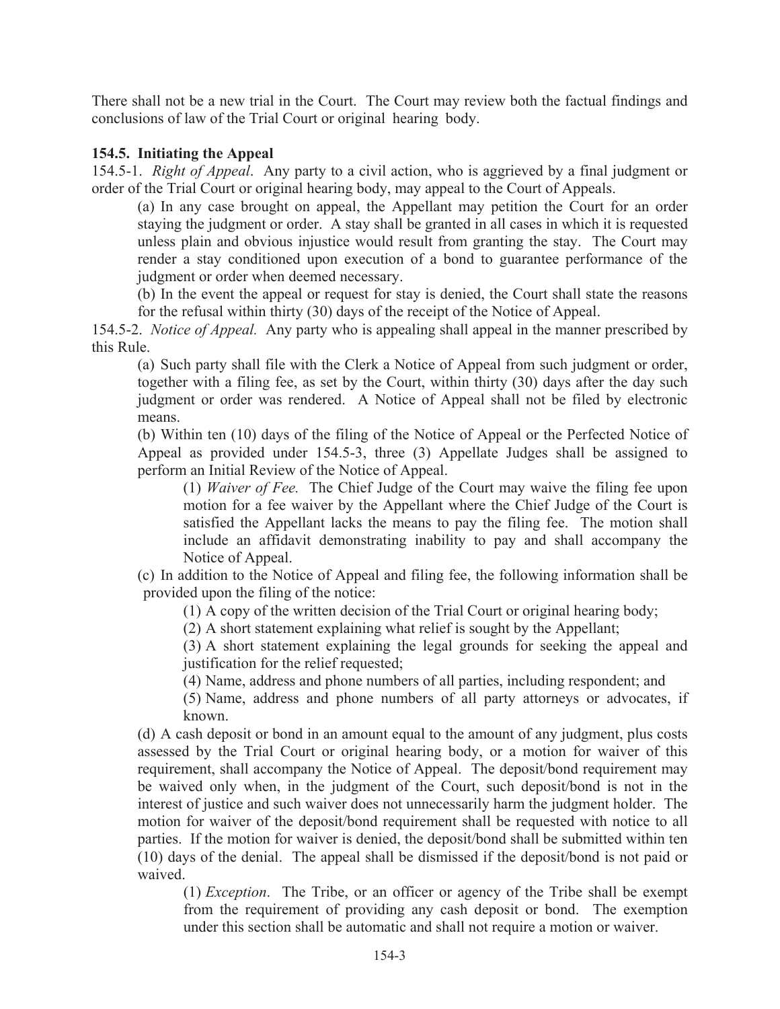There shall not be a new trial in the Court. The Court may review both the factual findings and conclusions of law of the Trial Court or original hearing body.

#### 154.5. Initiating the Appeal

154.5-1. Right of Appeal. Any party to a civil action, who is aggrieved by a final judgment or order of the Trial Court or original hearing body, may appeal to the Court of Appeals.

(a) In any case brought on appeal, the Appellant may petition the Court for an order staying the judgment or order. A stay shall be granted in all cases in which it is requested unless plain and obvious injustice would result from granting the stay. The Court may render a stay conditioned upon execution of a bond to guarantee performance of the judgment or order when deemed necessary.

(b) In the event the appeal or request for stay is denied, the Court shall state the reasons for the refusal within thirty (30) days of the receipt of the Notice of Appeal.

154.5-2. *Notice of Appeal.* Any party who is appealing shall appeal in the manner prescribed by this Rule

(a) Such party shall file with the Clerk a Notice of Appeal from such judgment or order, together with a filing fee, as set by the Court, within thirty (30) days after the day such judgment or order was rendered. A Notice of Appeal shall not be filed by electronic means.

(b) Within ten (10) days of the filing of the Notice of Appeal or the Perfected Notice of Appeal as provided under 154.5-3, three (3) Appellate Judges shall be assigned to perform an Initial Review of the Notice of Appeal.

(1) *Waiver of Fee.* The Chief Judge of the Court may waive the filing fee upon motion for a fee waiver by the Appellant where the Chief Judge of the Court is satisfied the Appellant lacks the means to pay the filing fee. The motion shall include an affidavit demonstrating inability to pay and shall accompany the Notice of Appeal.

(c) In addition to the Notice of Appeal and filing fee, the following information shall be provided upon the filing of the notice:

(1) A copy of the written decision of the Trial Court or original hearing body;

(2) A short statement explaining what relief is sought by the Appellant;

(3) A short statement explaining the legal grounds for seeking the appeal and justification for the relief requested;

(4) Name, address and phone numbers of all parties, including respondent; and

(5) Name, address and phone numbers of all party attorneys or advocates, if known.

(d) A cash deposit or bond in an amount equal to the amount of any judgment, plus costs assessed by the Trial Court or original hearing body, or a motion for waiver of this requirement, shall accompany the Notice of Appeal. The deposit/bond requirement may be waived only when, in the judgment of the Court, such deposit/bond is not in the interest of justice and such waiver does not unnecessarily harm the judgment holder. The motion for waiver of the deposit/bond requirement shall be requested with notice to all parties. If the motion for waiver is denied, the deposit/bond shall be submitted within ten (10) days of the denial. The appeal shall be dismissed if the deposit/bond is not paid or waived.

(1) *Exception*. The Tribe, or an officer or agency of the Tribe shall be exempt from the requirement of providing any cash deposit or bond. The exemption under this section shall be automatic and shall not require a motion or waiver.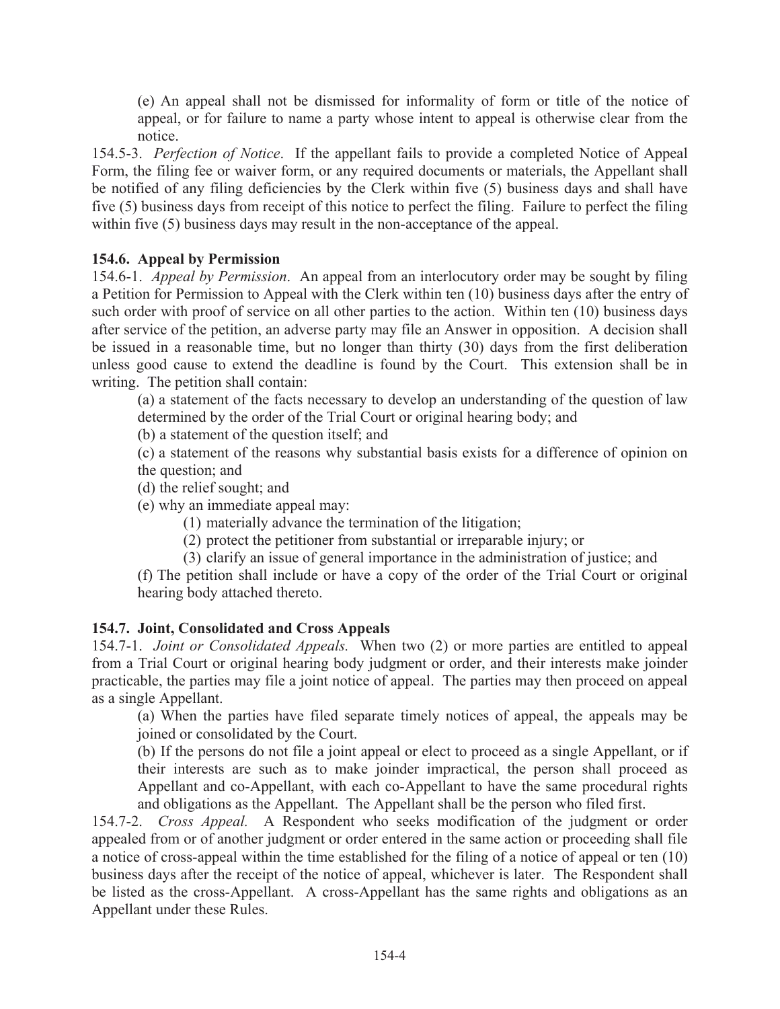(e) An appeal shall not be dismissed for informality of form or title of the notice of appeal, or for failure to name a party whose intent to appeal is otherwise clear from the notice.

154.5-3. Perfection of Notice. If the appellant fails to provide a completed Notice of Appeal Form, the filing fee or waiver form, or any required documents or materials, the Appellant shall be notified of any filing deficiencies by the Clerk within five (5) business days and shall have five (5) business days from receipt of this notice to perfect the filing. Failure to perfect the filing within five (5) business days may result in the non-acceptance of the appeal.

# 154.6. Appeal by Permission

154.6-1. Appeal by Permission. An appeal from an interlocutory order may be sought by filing a Petition for Permission to Appeal with the Clerk within ten (10) business days after the entry of such order with proof of service on all other parties to the action. Within ten (10) business days after service of the petition, an adverse party may file an Answer in opposition. A decision shall be issued in a reasonable time, but no longer than thirty (30) days from the first deliberation unless good cause to extend the deadline is found by the Court. This extension shall be in writing. The petition shall contain:

(a) a statement of the facts necessary to develop an understanding of the question of law determined by the order of the Trial Court or original hearing body; and

(b) a statement of the question itself; and

(c) a statement of the reasons why substantial basis exists for a difference of opinion on the question; and

(d) the relief sought; and

(e) why an immediate appeal may:

(1) materially advance the termination of the litigation;

(2) protect the petitioner from substantial or irreparable injury; or

(3) clarify an issue of general importance in the administration of justice; and

(f) The petition shall include or have a copy of the order of the Trial Court or original hearing body attached thereto.

# 154.7. Joint, Consolidated and Cross Appeals

154.7-1. Joint or Consolidated Appeals. When two (2) or more parties are entitled to appeal from a Trial Court or original hearing body judgment or order, and their interests make joinder practicable, the parties may file a joint notice of appeal. The parties may then proceed on appeal as a single Appellant.

(a) When the parties have filed separate timely notices of appeal, the appeals may be joined or consolidated by the Court.

(b) If the persons do not file a joint appeal or elect to proceed as a single Appellant, or if their interests are such as to make joinder impractical, the person shall proceed as Appellant and co-Appellant, with each co-Appellant to have the same procedural rights and obligations as the Appellant. The Appellant shall be the person who filed first.

154.7-2. Cross Appeal. A Respondent who seeks modification of the judgment or order appealed from or of another judgment or order entered in the same action or proceeding shall file a notice of cross-appeal within the time established for the filing of a notice of appeal or ten (10) business days after the receipt of the notice of appeal, whichever is later. The Respondent shall be listed as the cross-Appellant. A cross-Appellant has the same rights and obligations as an Appellant under these Rules.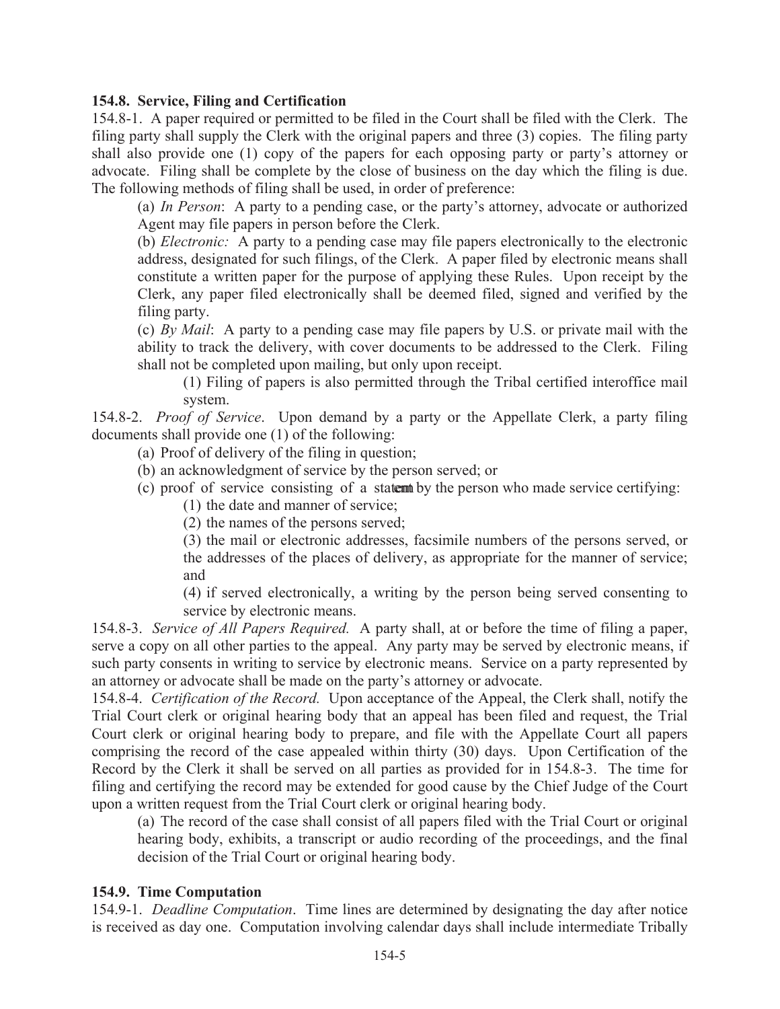#### 154.8. Service, Filing and Certification

154.8-1. A paper required or permitted to be filed in the Court shall be filed with the Clerk. The filing party shall supply the Clerk with the original papers and three (3) copies. The filing party shall also provide one (1) copy of the papers for each opposing party or party's attorney or advocate. Filing shall be complete by the close of business on the day which the filing is due. The following methods of filing shall be used, in order of preference:

(a) In Person: A party to a pending case, or the party's attorney, advocate or authorized Agent may file papers in person before the Clerk.

(b) *Electronic*: A party to a pending case may file papers electronically to the electronic address, designated for such filings, of the Clerk. A paper filed by electronic means shall constitute a written paper for the purpose of applying these Rules. Upon receipt by the Clerk, any paper filed electronically shall be deemed filed, signed and verified by the filing party.

(c) By Mail: A party to a pending case may file papers by U.S. or private mail with the ability to track the delivery, with cover documents to be addressed to the Clerk. Filing shall not be completed upon mailing, but only upon receipt.

(1) Filing of papers is also permitted through the Tribal certified interoffice mail system.

154.8-2. Proof of Service. Upon demand by a party or the Appellate Clerk, a party filing documents shall provide one (1) of the following:

(a) Proof of delivery of the filing in question;

(b) an acknowledgment of service by the person served; or

- (c) proof of service consisting of a statent by the person who made service certifying:
	- (1) the date and manner of service;
	- (2) the names of the persons served:

(3) the mail or electronic addresses, facsimile numbers of the persons served, or the addresses of the places of delivery, as appropriate for the manner of service; and

(4) if served electronically, a writing by the person being served consenting to service by electronic means.

154.8-3. Service of All Papers Required. A party shall, at or before the time of filing a paper, serve a copy on all other parties to the appeal. Any party may be served by electronic means, if such party consents in writing to service by electronic means. Service on a party represented by an attorney or advocate shall be made on the party's attorney or advocate.

154.8-4. Certification of the Record. Upon acceptance of the Appeal, the Clerk shall, notify the Trial Court clerk or original hearing body that an appeal has been filed and request, the Trial Court clerk or original hearing body to prepare, and file with the Appellate Court all papers comprising the record of the case appealed within thirty (30) days. Upon Certification of the Record by the Clerk it shall be served on all parties as provided for in 154.8-3. The time for filing and certifying the record may be extended for good cause by the Chief Judge of the Court upon a written request from the Trial Court clerk or original hearing body.

(a) The record of the case shall consist of all papers filed with the Trial Court or original hearing body, exhibits, a transcript or audio recording of the proceedings, and the final decision of the Trial Court or original hearing body.

#### 154.9. Time Computation

154.9-1. Deadline Computation. Time lines are determined by designating the day after notice is received as day one. Computation involving calendar days shall include intermediate Tribally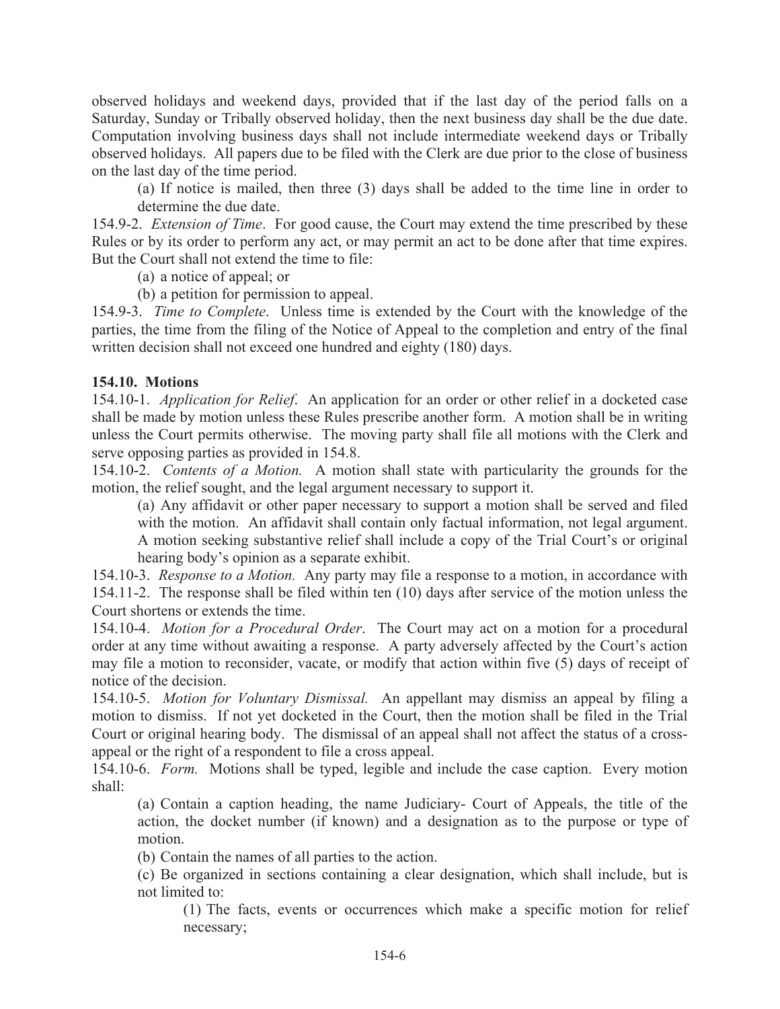observed holidays and weekend days, provided that if the last day of the period falls on a Saturday, Sunday or Tribally observed holiday, then the next business day shall be the due date. Computation involving business days shall not include intermediate weekend days or Tribally observed holidays. All papers due to be filed with the Clerk are due prior to the close of business on the last day of the time period.

(a) If notice is mailed, then three (3) days shall be added to the time line in order to determine the due date.

154.9-2. Extension of Time. For good cause, the Court may extend the time prescribed by these Rules or by its order to perform any act, or may permit an act to be done after that time expires. But the Court shall not extend the time to file:

(a) a notice of appeal; or

(b) a petition for permission to appeal.

154.9-3. Time to Complete. Unless time is extended by the Court with the knowledge of the parties, the time from the filing of the Notice of Appeal to the completion and entry of the final written decision shall not exceed one hundred and eighty (180) days.

#### **154.10. Motions**

154.10-1. Application for Relief. An application for an order or other relief in a docketed case shall be made by motion unless these Rules prescribe another form. A motion shall be in writing unless the Court permits otherwise. The moving party shall file all motions with the Clerk and serve opposing parties as provided in 154.8.

154.10-2. Contents of a Motion. A motion shall state with particularity the grounds for the motion, the relief sought, and the legal argument necessary to support it.

(a) Any affidavit or other paper necessary to support a motion shall be served and filed with the motion. An affidavit shall contain only factual information, not legal argument. A motion seeking substantive relief shall include a copy of the Trial Court's or original hearing body's opinion as a separate exhibit.

154.10-3. Response to a Motion. Any party may file a response to a motion, in accordance with 154.11-2. The response shall be filed within ten (10) days after service of the motion unless the Court shortens or extends the time.

154.10-4. *Motion for a Procedural Order*. The Court may act on a motion for a procedural order at any time without awaiting a response. A party adversely affected by the Court's action may file a motion to reconsider, vacate, or modify that action within five (5) days of receipt of notice of the decision.

154.10-5. Motion for Voluntary Dismissal. An appellant may dismiss an appeal by filing a motion to dismiss. If not yet docketed in the Court, then the motion shall be filed in the Trial Court or original hearing body. The dismissal of an appeal shall not affect the status of a crossappeal or the right of a respondent to file a cross appeal.

154.10-6. Form. Motions shall be typed, legible and include the case caption. Every motion shall:

(a) Contain a caption heading, the name Judiciary- Court of Appeals, the title of the action, the docket number (if known) and a designation as to the purpose or type of motion

(b) Contain the names of all parties to the action.

(c) Be organized in sections containing a clear designation, which shall include, but is not limited to:

(1) The facts, events or occurrences which make a specific motion for relief necessary;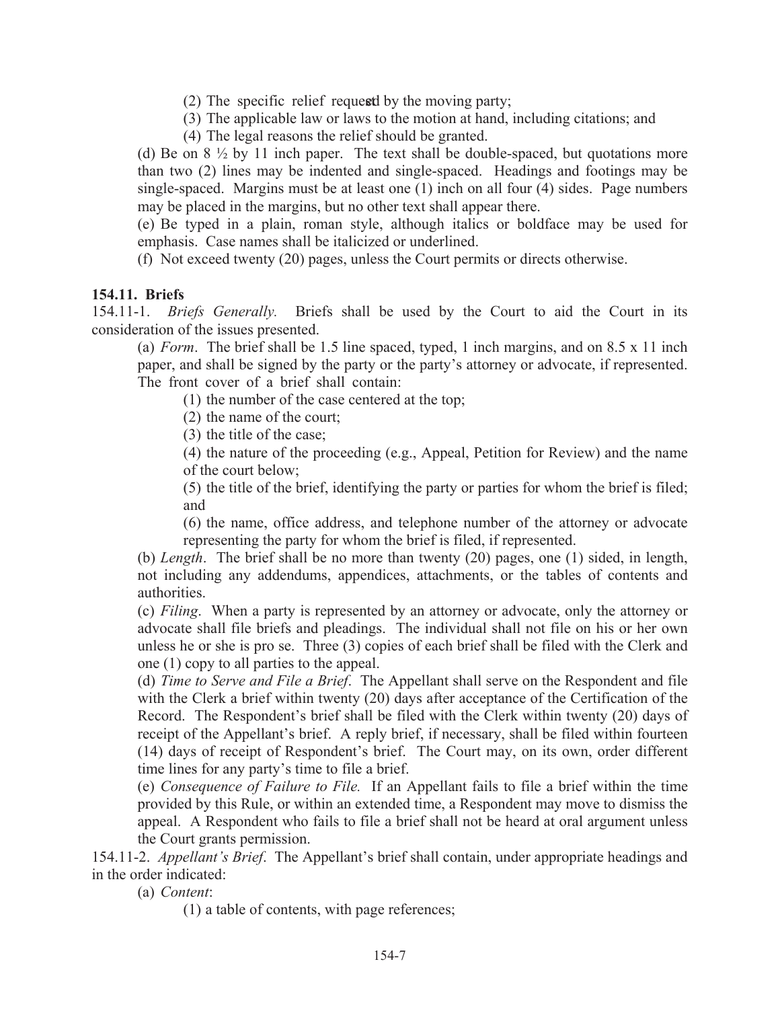- (2) The specific relief request by the moving party;
- (3) The applicable law or laws to the motion at hand, including citations; and
- (4) The legal reasons the relief should be granted.

(d) Be on  $8\frac{1}{2}$  by 11 inch paper. The text shall be double-spaced, but quotations more than two (2) lines may be indented and single-spaced. Headings and footings may be single-spaced. Margins must be at least one (1) inch on all four (4) sides. Page numbers may be placed in the margins, but no other text shall appear there.

(e) Be typed in a plain, roman style, although italics or boldface may be used for emphasis. Case names shall be italicized or underlined.

(f) Not exceed twenty (20) pages, unless the Court permits or directs otherwise.

#### 154.11. Briefs

154.11-1. *Briefs Generally*. Briefs shall be used by the Court to aid the Court in its consideration of the issues presented.

(a) Form. The brief shall be 1.5 line spaced, typed, 1 inch margins, and on 8.5 x 11 inch paper, and shall be signed by the party or the party's attorney or advocate, if represented. The front cover of a brief shall contain:

(1) the number of the case centered at the top;

(2) the name of the court;

(3) the title of the case;

(4) the nature of the proceeding (e.g., Appeal, Petition for Review) and the name of the court below;

(5) the title of the brief, identifying the party or parties for whom the brief is filed; and

(6) the name, office address, and telephone number of the attorney or advocate representing the party for whom the brief is filed, if represented.

(b) Length. The brief shall be no more than twenty  $(20)$  pages, one  $(1)$  sided, in length, not including any addendums, appendices, attachments, or the tables of contents and authorities.

(c) Filing. When a party is represented by an attorney or advocate, only the attorney or advocate shall file briefs and pleadings. The individual shall not file on his or her own unless he or she is pro se. Three (3) copies of each brief shall be filed with the Clerk and one (1) copy to all parties to the appeal.

(d) Time to Serve and File a Brief. The Appellant shall serve on the Respondent and file with the Clerk a brief within twenty (20) days after acceptance of the Certification of the Record. The Respondent's brief shall be filed with the Clerk within twenty (20) days of receipt of the Appellant's brief. A reply brief, if necessary, shall be filed within fourteen (14) days of receipt of Respondent's brief. The Court may, on its own, order different time lines for any party's time to file a brief.

(e) Consequence of Failure to File. If an Appellant fails to file a brief within the time provided by this Rule, or within an extended time, a Respondent may move to dismiss the appeal. A Respondent who fails to file a brief shall not be heard at oral argument unless the Court grants permission.

154.11-2. Appellant's Brief. The Appellant's brief shall contain, under appropriate headings and in the order indicated:

(a) Content:

(1) a table of contents, with page references;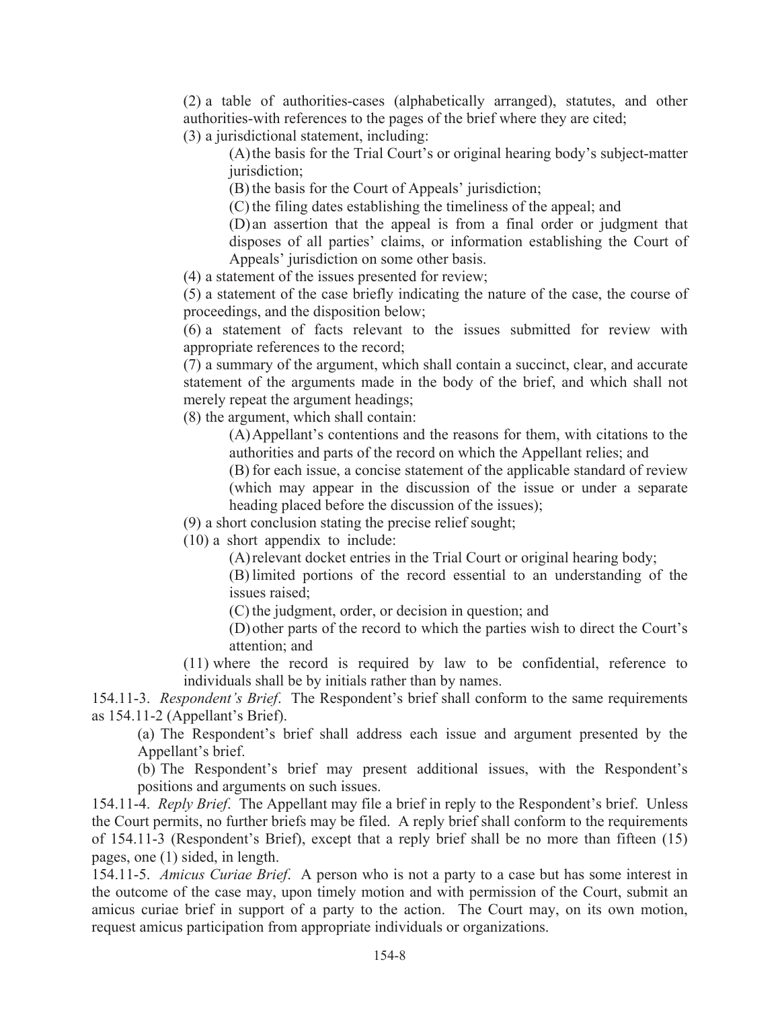(2) a table of authorities-cases (alphabetically arranged), statutes, and other authorities-with references to the pages of the brief where they are cited;

(3) a jurisdictional statement, including:

(A) the basis for the Trial Court's or original hearing body's subject-matter jurisdiction;

(B) the basis for the Court of Appeals' jurisdiction;

(C) the filing dates establishing the timeliness of the appeal; and

(D) an assertion that the appeal is from a final order or judgment that disposes of all parties' claims, or information establishing the Court of Appeals' jurisdiction on some other basis.

(4) a statement of the issues presented for review;

(5) a statement of the case briefly indicating the nature of the case, the course of proceedings, and the disposition below;

(6) a statement of facts relevant to the issues submitted for review with appropriate references to the record;

(7) a summary of the argument, which shall contain a succinct, clear, and accurate statement of the arguments made in the body of the brief, and which shall not merely repeat the argument headings;

(8) the argument, which shall contain:

(A) Appellant's contentions and the reasons for them, with citations to the authorities and parts of the record on which the Appellant relies; and

(B) for each issue, a concise statement of the applicable standard of review (which may appear in the discussion of the issue or under a separate heading placed before the discussion of the issues);

(9) a short conclusion stating the precise relief sought;

 $(10)$  a short appendix to include:

(A) relevant docket entries in the Trial Court or original hearing body;

(B) limited portions of the record essential to an understanding of the issues raised;

(C) the judgment, order, or decision in question; and

(D) other parts of the record to which the parties wish to direct the Court's attention; and

 $(11)$  where the record is required by law to be confidential, reference to individuals shall be by initials rather than by names.

154.11-3. Respondent's Brief. The Respondent's brief shall conform to the same requirements as  $154.11 - 2$  (Appellant's Brief).

(a) The Respondent's brief shall address each issue and argument presented by the Appellant's brief.

(b) The Respondent's brief may present additional issues, with the Respondent's positions and arguments on such issues.

154.11-4. *Reply Brief.* The Appellant may file a brief in reply to the Respondent's brief. Unless the Court permits, no further briefs may be filed. A reply brief shall conform to the requirements of 154.11-3 (Respondent's Brief), except that a reply brief shall be no more than fifteen (15) pages, one (1) sided, in length.

154.11-5. Amicus Curiae Brief. A person who is not a party to a case but has some interest in the outcome of the case may, upon timely motion and with permission of the Court, submit an amicus curiae brief in support of a party to the action. The Court may, on its own motion, request amicus participation from appropriate individuals or organizations.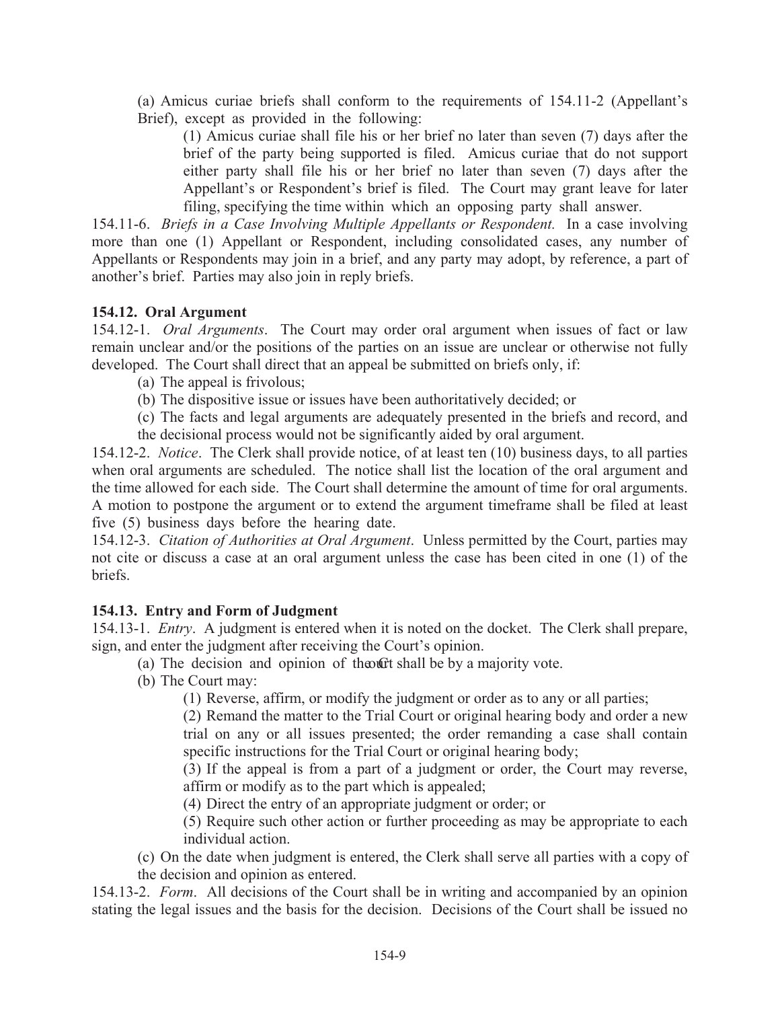(a) Amicus curiae briefs shall conform to the requirements of 154.11-2 (Appellant's Brief), except as provided in the following:

(1) Amicus curiae shall file his or her brief no later than seven (7) days after the brief of the party being supported is filed. Amicus curiae that do not support either party shall file his or her brief no later than seven (7) days after the Appellant's or Respondent's brief is filed. The Court may grant leave for later filing, specifying the time within which an opposing party shall answer.

154.11-6. Briefs in a Case Involving Multiple Appellants or Respondent. In a case involving more than one (1) Appellant or Respondent, including consolidated cases, any number of Appellants or Respondents may join in a brief, and any party may adopt, by reference, a part of another's brief. Parties may also join in reply briefs.

# 154.12. Oral Argument

154.12-1. Oral Arguments. The Court may order oral argument when issues of fact or law remain unclear and/or the positions of the parties on an issue are unclear or otherwise not fully developed. The Court shall direct that an appeal be submitted on briefs only, if:

- (a) The appeal is frivolous;
- (b) The dispositive issue or issues have been authoritatively decided; or
- (c) The facts and legal arguments are adequately presented in the briefs and record, and
- the decisional process would not be significantly aided by oral argument.

154.12-2. Notice. The Clerk shall provide notice, of at least ten (10) business days, to all parties when oral arguments are scheduled. The notice shall list the location of the oral argument and the time allowed for each side. The Court shall determine the amount of time for oral arguments. A motion to postpone the argument or to extend the argument timeframe shall be filed at least five (5) business days before the hearing date.

154.12-3. Citation of Authorities at Oral Argument. Unless permitted by the Court, parties may not cite or discuss a case at an oral argument unless the case has been cited in one (1) of the briefs.

# 154.13. Entry and Form of Judgment

154.13-1. *Entry*. A judgment is entered when it is noted on the docket. The Clerk shall prepare, sign, and enter the judgment after receiving the Court's opinion.

- (a) The decision and opinion of the of the by a majority vote.
- (b) The Court may:

(1) Reverse, affirm, or modify the judgment or order as to any or all parties;

(2) Remand the matter to the Trial Court or original hearing body and order a new trial on any or all issues presented; the order remanding a case shall contain specific instructions for the Trial Court or original hearing body;

(3) If the appeal is from a part of a judgment or order, the Court may reverse, affirm or modify as to the part which is appealed;

(4) Direct the entry of an appropriate judgment or order; or

(5) Require such other action or further proceeding as may be appropriate to each individual action.

(c) On the date when judgment is entered, the Clerk shall serve all parties with a copy of the decision and opinion as entered.

154.13-2. Form. All decisions of the Court shall be in writing and accompanied by an opinion stating the legal issues and the basis for the decision. Decisions of the Court shall be issued no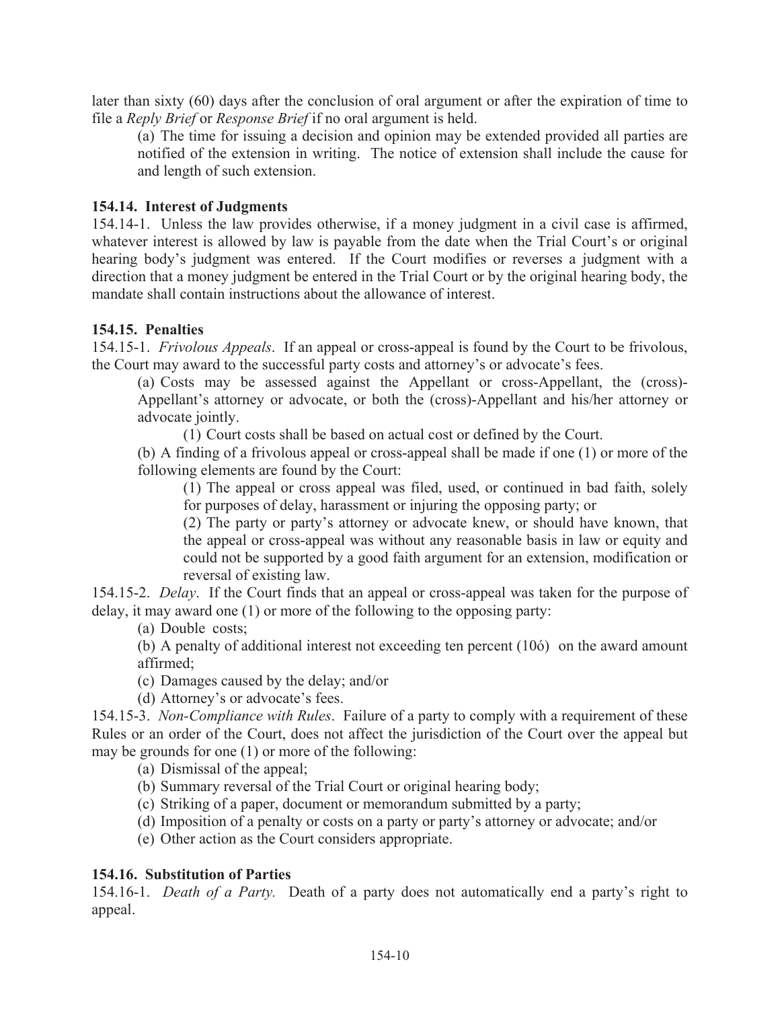later than sixty  $(60)$  days after the conclusion of oral argument or after the expiration of time to file a *Reply Brief* or *Response Brief* if no oral argument is held.

(a) The time for issuing a decision and opinion may be extended provided all parties are notified of the extension in writing. The notice of extension shall include the cause for and length of such extension.

#### 154.14. Interest of Judgments

154.14-1. Unless the law provides otherwise, if a money judgment in a civil case is affirmed, whatever interest is allowed by law is payable from the date when the Trial Court's or original hearing body's judgment was entered. If the Court modifies or reverses a judgment with a direction that a money judgment be entered in the Trial Court or by the original hearing body, the mandate shall contain instructions about the allowance of interest.

#### 154.15. Penalties

154.15-1. *Frivolous Appeals*. If an appeal or cross-appeal is found by the Court to be frivolous, the Court may award to the successful party costs and attorney's or advocate's fees.

(a) Costs may be assessed against the Appellant or cross-Appellant, the (cross)-Appellant's attorney or advocate, or both the (cross)-Appellant and his/her attorney or advocate jointly.

(1) Court costs shall be based on actual cost or defined by the Court.

(b) A finding of a frivolous appeal or cross-appeal shall be made if one (1) or more of the following elements are found by the Court:

(1) The appeal or cross appeal was filed, used, or continued in bad faith, solely for purposes of delay, harassment or injuring the opposing party; or

(2) The party or party's attorney or advocate knew, or should have known, that the appeal or cross-appeal was without any reasonable basis in law or equity and could not be supported by a good faith argument for an extension, modification or reversal of existing law.

154.15-2. Delay. If the Court finds that an appeal or cross-appeal was taken for the purpose of delay, it may award one  $(1)$  or more of the following to the opposing party:

(a) Double costs;

(b) A penalty of additional interest not exceeding ten percent (106) on the award amount affirmed:

(c) Damages caused by the delay; and/or

(d) Attorney's or advocate's fees.

154.15-3. Non-Compliance with Rules. Failure of a party to comply with a requirement of these Rules or an order of the Court, does not affect the jurisdiction of the Court over the appeal but may be grounds for one (1) or more of the following:

(a) Dismissal of the appeal;

- (b) Summary reversal of the Trial Court or original hearing body;
- (c) Striking of a paper, document or memorandum submitted by a party;
- (d) Imposition of a penalty or costs on a party or party's attorney or advocate; and/or
- (e) Other action as the Court considers appropriate.

#### 154.16. Substitution of Parties

154.16-1. Death of a Party. Death of a party does not automatically end a party's right to appeal.